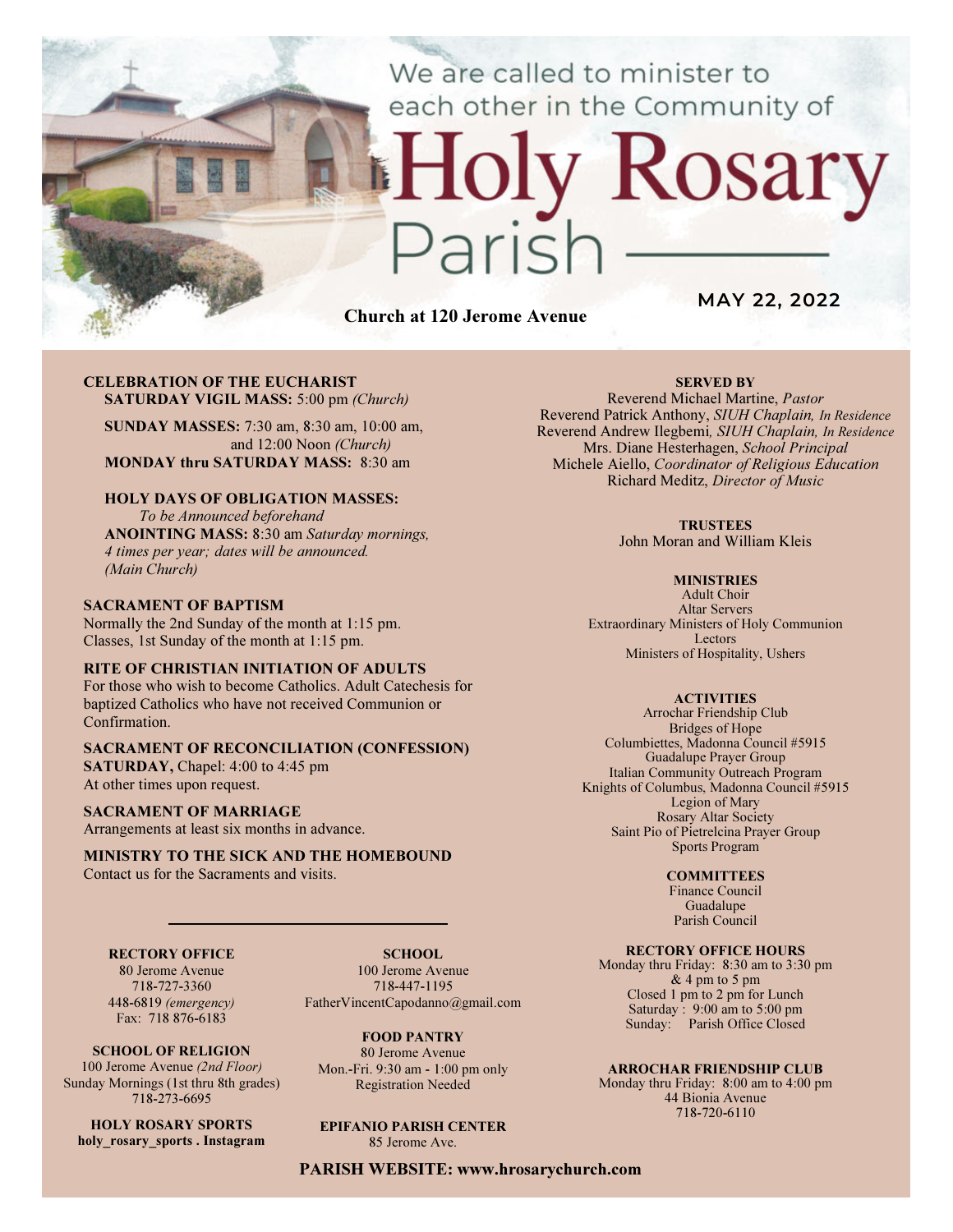We are called to minister to each other in the Community of

# Rosary aris

Church at 120 Jerome Avenue

MAY 22, 2022

#### CELEBRATION OF THE EUCHARIST SATURDAY VIGIL MASS: 5:00 pm (Church)

SUNDAY MASSES: 7:30 am, 8:30 am, 10:00 am, and 12:00 Noon (Church) MONDAY thru SATURDAY MASS: 8:30 am

## HOLY DAYS OF OBLIGATION MASSES:

To be Announced beforehand ANOINTING MASS: 8:30 am Saturday mornings, 4 times per year; dates will be announced. (Main Church)

#### SACRAMENT OF BAPTISM

Normally the 2nd Sunday of the month at 1:15 pm. Classes, 1st Sunday of the month at 1:15 pm.

#### RITE OF CHRISTIAN INITIATION OF ADULTS

For those who wish to become Catholics. Adult Catechesis for baptized Catholics who have not received Communion or Confirmation.

# SACRAMENT OF RECONCILIATION (CONFESSION)

SATURDAY, Chapel: 4:00 to 4:45 pm At other times upon request.

#### SACRAMENT OF MARRIAGE

Arrangements at least six months in advance.

#### MINISTRY TO THE SICK AND THE HOMEBOUND Contact us for the Sacraments and visits.

#### RECTORY OFFICE

80 Jerome Avenue 718-727-3360 448-6819 (emergency) Fax: 718 876-6183

SCHOOL OF RELIGION 100 Jerome Avenue (2nd Floor) Sunday Mornings (1st thru 8th grades) 718-273-6695

HOLY ROSARY SPORTS holy rosary sports . Instagram

SCHOOL. 100 Jerome Avenue 718-447-1195 FatherVincentCapodanno@gmail.com

FOOD PANTRY 80 Jerome Avenue Mon.-Fri. 9:30 am - 1:00 pm only Registration Needed

EPIFANIO PARISH CENTER 85 Jerome Ave.

PARISH WEBSITE: www.hrosarychurch.com

### SERVED BY

Reverend Michael Martine, Pastor Reverend Patrick Anthony, SIUH Chaplain, In Residence Reverend Andrew Ilegbemi, SIUH Chaplain, In Residence Mrs. Diane Hesterhagen, School Principal Michele Aiello, Coordinator of Religious Education Richard Meditz, Director of Music

#### **TRUSTEES**

John Moran and William Kleis

#### **MINISTRIES**

Adult Choir Altar Servers Extraordinary Ministers of Holy Communion Lectors Ministers of Hospitality, Ushers

#### **ACTIVITIES**

Arrochar Friendship Club Bridges of Hope Columbiettes, Madonna Council #5915 Guadalupe Prayer Group Italian Community Outreach Program Knights of Columbus, Madonna Council #5915 Legion of Mary Rosary Altar Society Saint Pio of Pietrelcina Prayer Group Sports Program

#### **COMMITTEES**

Finance Council Guadalupe Parish Council

#### RECTORY OFFICE HOURS

Monday thru Friday: 8:30 am to 3:30 pm & 4 pm to 5 pm Closed 1 pm to 2 pm for Lunch Saturday:  $9:00 \text{ am to } 5:00 \text{ pm}$ Sunday: Parish Office Closed

#### ARROCHAR FRIENDSHIP CLUB

Monday thru Friday: 8:00 am to 4:00 pm 44 Bionia Avenue 718-720-6110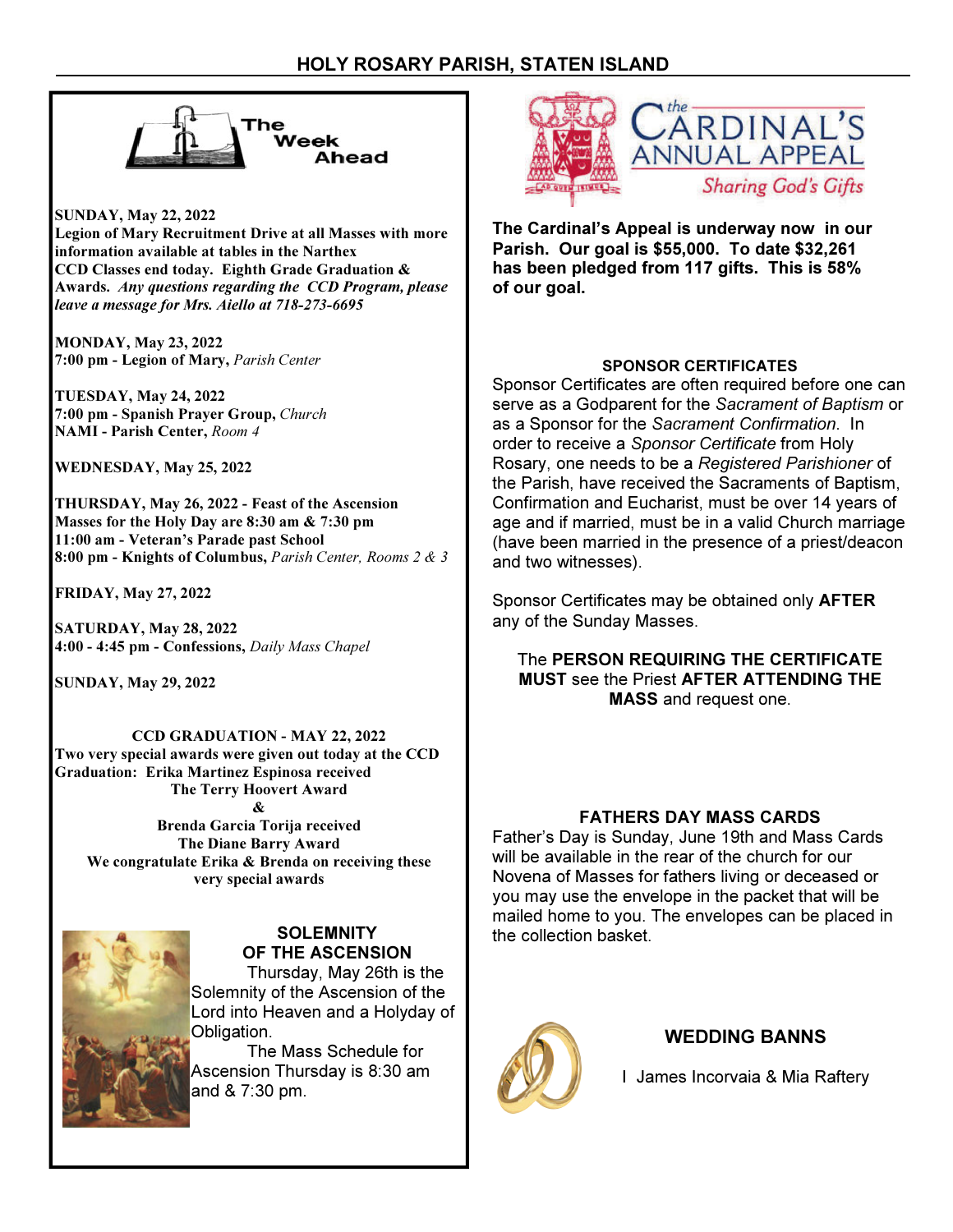

SUNDAY, May 22, 2022 Legion of Mary Recruitment Drive at all Masses with more information available at tables in the Narthex CCD Classes end today. Eighth Grade Graduation & Awards. Any questions regarding the CCD Program, please leave a message for Mrs. Aiello at 718-273-6695

MONDAY, May 23, 2022 7:00 pm - Legion of Mary, Parish Center

TUESDAY, May 24, 2022 7:00 pm - Spanish Prayer Group, Church NAMI - Parish Center, Room 4

WEDNESDAY, May 25, 2022

THURSDAY, May 26, 2022 - Feast of the Ascension Masses for the Holy Day are 8:30 am & 7:30 pm 11:00 am - Veteran's Parade past School 8:00 pm - Knights of Columbus, Parish Center, Rooms 2 & 3

FRIDAY, May 27, 2022

SATURDAY, May 28, 2022 4:00 - 4:45 pm - Confessions, Daily Mass Chapel

SUNDAY, May 29, 2022

CCD GRADUATION - MAY 22, 2022 Two very special awards were given out today at the CCD Graduation: Erika Martinez Espinosa received The Terry Hoovert Award &

Brenda Garcia Torija received The Diane Barry Award We congratulate Erika & Brenda on receiving these very special awards



#### **SOLEMNITY** OF THE ASCENSION

 Thursday, May 26th is the Solemnity of the Ascension of the Lord into Heaven and a Holyday of Obligation.

 The Mass Schedule for Ascension Thursday is 8:30 am and & 7:30 pm.



The Cardinal's Appeal is underway now in our Parish. Our goal is \$55,000. To date \$32,261 has been pledged from 117 gifts. This is 58% of our goal.

# SPONSOR CERTIFICATES

Sponsor Certificates are often required before one can serve as a Godparent for the Sacrament of Baptism or as a Sponsor for the Sacrament Confirmation. In order to receive a Sponsor Certificate from Holy Rosary, one needs to be a Registered Parishioner of the Parish, have received the Sacraments of Baptism, Confirmation and Eucharist, must be over 14 years of age and if married, must be in a valid Church marriage (have been married in the presence of a priest/deacon and two witnesses).

Sponsor Certificates may be obtained only AFTER any of the Sunday Masses.

The PERSON REQUIRING THE CERTIFICATE MUST see the Priest AFTER ATTENDING THE MASS and request one.

# FATHERS DAY MASS CARDS

Father's Day is Sunday, June 19th and Mass Cards will be available in the rear of the church for our Novena of Masses for fathers living or deceased or you may use the envelope in the packet that will be mailed home to you. The envelopes can be placed in the collection basket.



# WEDDING BANNS

I James Incorvaia & Mia Raftery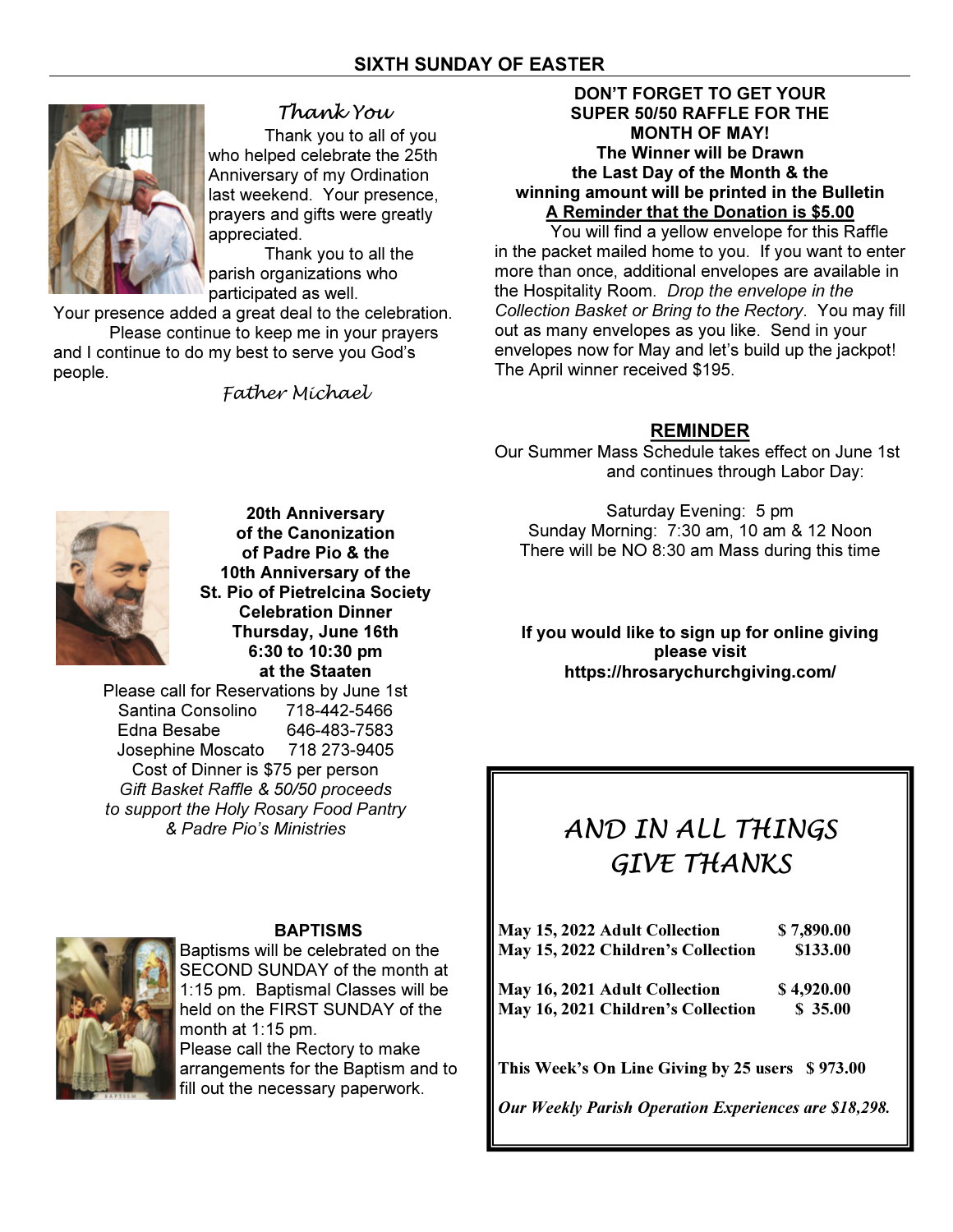

# Thank You

Thank you to all of you who helped celebrate the 25th Anniversary of my Ordination last weekend. Your presence, prayers and gifts were greatly appreciated.

 Thank you to all the parish organizations who participated as well.

Your presence added a great deal to the celebration.

 Please continue to keep me in your prayers and I continue to do my best to serve you God's people.

Father Michael

# DON'T FORGET TO GET YOUR SUPER 50/50 RAFFLE FOR THE MONTH OF MAY! The Winner will be Drawn the Last Day of the Month & the winning amount will be printed in the Bulletin A Reminder that the Donation is \$5.00

 You will find a yellow envelope for this Raffle in the packet mailed home to you. If you want to enter more than once, additional envelopes are available in the Hospitality Room. Drop the envelope in the Collection Basket or Bring to the Rectory. You may fill out as many envelopes as you like. Send in your envelopes now for May and let's build up the jackpot! The April winner received \$195.

# REMINDER

Our Summer Mass Schedule takes effect on June 1st and continues through Labor Day:



20th Anniversary of the Canonization of Padre Pio & the 10th Anniversary of the St. Pio of Pietrelcina Society Celebration Dinner Thursday, June 16th 6:30 to 10:30 pm at the Staaten

Please call for Reservations by June 1st Santina Consolino 718-442-5466 Edna Besabe 646-483-7583 Josephine Moscato 718 273-9405 Cost of Dinner is \$75 per person Gift Basket Raffle & 50/50 proceeds to support the Holy Rosary Food Pantry & Padre Pio's Ministries

BAPTISMS

Baptisms will be celebrated on the SECOND SUNDAY of the month at 1:15 pm. Baptismal Classes will be held on the FIRST SUNDAY of the month at 1:15 pm. Please call the Rectory to make arrangements for the Baptism and to fill out the necessary paperwork.

Saturday Evening: 5 pm Sunday Morning: 7:30 am, 10 am & 12 Noon There will be NO 8:30 am Mass during this time

If you would like to sign up for online giving please visit https://hrosarychurchgiving.com/

# AND IN ALL THINGS GIVE THANKS

| May 15, 2022 Adult Collection<br>May 15, 2022 Children's Collection | \$7,890.00<br>\$133.00 |
|---------------------------------------------------------------------|------------------------|
| May 16, 2021 Adult Collection                                       | \$4,920.00             |
| May 16, 2021 Children's Collection                                  | \$35.00                |
|                                                                     |                        |
|                                                                     |                        |

This Week's On Line Giving by 25 users \$973.00

Our Weekly Parish Operation Experiences are \$18,298.